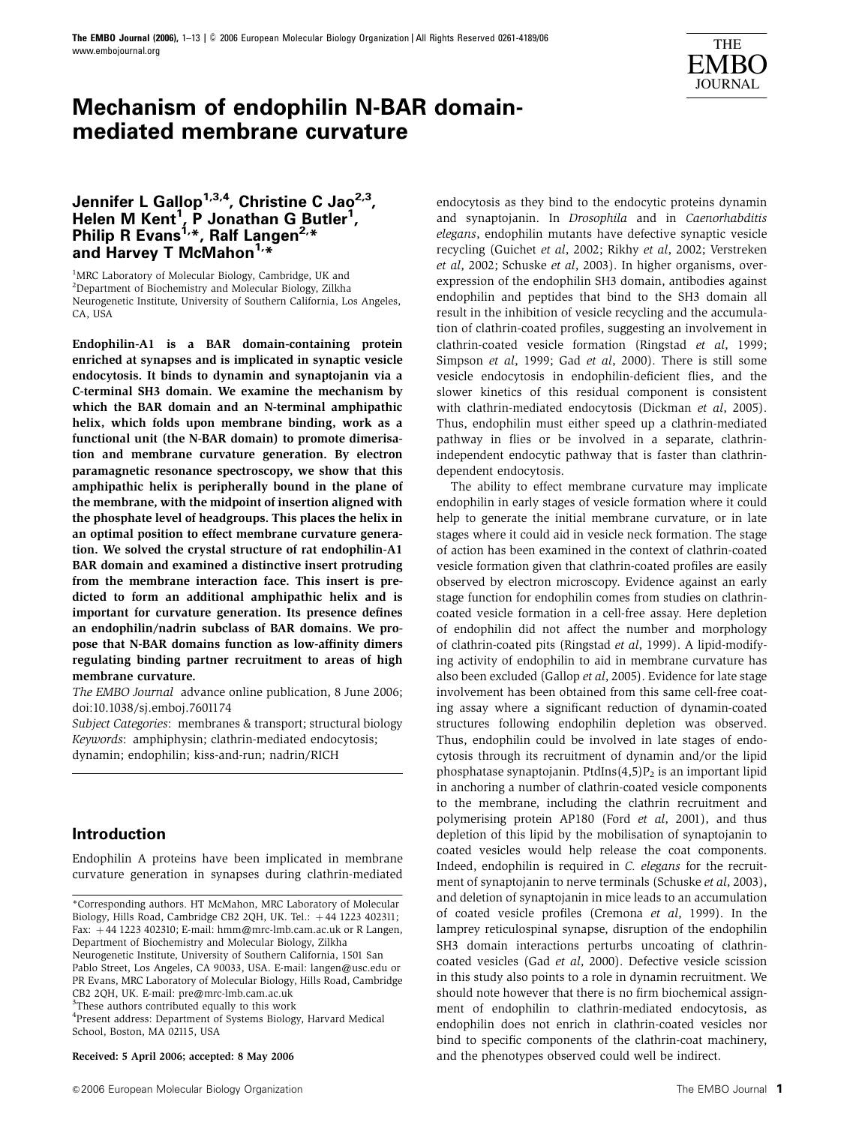

# **Mechanism of endophilin N-BAR domainmediated membrane curvature**

## **Jennifer L Gallop1,3,4, Christine C Jao2,3, Helen M Kent1 , P Jonathan G Butler1 , Philip R Evans1,\*, Ralf Langen2,\*** and Harvey T McMahon<sup>1,\*</sup>

<sup>1</sup>MRC Laboratory of Molecular Biology, Cambridge, UK and 2 Department of Biochemistry and Molecular Biology, Zilkha Neurogenetic Institute, University of Southern California, Los Angeles, CA, USA

Endophilin-A1 is a BAR domain-containing protein enriched at synapses and is implicated in synaptic vesicle endocytosis. It binds to dynamin and synaptojanin via a C-terminal SH3 domain. We examine the mechanism by which the BAR domain and an N-terminal amphipathic helix, which folds upon membrane binding, work as a functional unit (the N-BAR domain) to promote dimerisation and membrane curvature generation. By electron paramagnetic resonance spectroscopy, we show that this amphipathic helix is peripherally bound in the plane of the membrane, with the midpoint of insertion aligned with the phosphate level of headgroups. This places the helix in an optimal position to effect membrane curvature generation. We solved the crystal structure of rat endophilin-A1 BAR domain and examined a distinctive insert protruding from the membrane interaction face. This insert is predicted to form an additional amphipathic helix and is important for curvature generation. Its presence defines an endophilin/nadrin subclass of BAR domains. We propose that N-BAR domains function as low-affinity dimers regulating binding partner recruitment to areas of high membrane curvature.

The EMBO Journal advance online publication, 8 June 2006; doi:10.1038/sj.emboj.7601174

Subject Categories: membranes & transport; structural biology Keywords: amphiphysin; clathrin-mediated endocytosis; dynamin; endophilin; kiss-and-run; nadrin/RICH

## **Introduction**

Endophilin A proteins have been implicated in membrane curvature generation in synapses during clathrin-mediated

endocytosis as they bind to the endocytic proteins dynamin and synaptojanin. In Drosophila and in Caenorhabditis elegans, endophilin mutants have defective synaptic vesicle recycling (Guichet et al, 2002; Rikhy et al, 2002; Verstreken et al, 2002; Schuske et al, 2003). In higher organisms, overexpression of the endophilin SH3 domain, antibodies against endophilin and peptides that bind to the SH3 domain all result in the inhibition of vesicle recycling and the accumulation of clathrin-coated profiles, suggesting an involvement in clathrin-coated vesicle formation (Ringstad et al, 1999; Simpson et al, 1999; Gad et al, 2000). There is still some vesicle endocytosis in endophilin-deficient flies, and the slower kinetics of this residual component is consistent with clathrin-mediated endocytosis (Dickman et al, 2005). Thus, endophilin must either speed up a clathrin-mediated pathway in flies or be involved in a separate, clathrinindependent endocytic pathway that is faster than clathrindependent endocytosis.

The ability to effect membrane curvature may implicate endophilin in early stages of vesicle formation where it could help to generate the initial membrane curvature, or in late stages where it could aid in vesicle neck formation. The stage of action has been examined in the context of clathrin-coated vesicle formation given that clathrin-coated profiles are easily observed by electron microscopy. Evidence against an early stage function for endophilin comes from studies on clathrincoated vesicle formation in a cell-free assay. Here depletion of endophilin did not affect the number and morphology of clathrin-coated pits (Ringstad et al, 1999). A lipid-modifying activity of endophilin to aid in membrane curvature has also been excluded (Gallop et al, 2005). Evidence for late stage involvement has been obtained from this same cell-free coating assay where a significant reduction of dynamin-coated structures following endophilin depletion was observed. Thus, endophilin could be involved in late stages of endocytosis through its recruitment of dynamin and/or the lipid phosphatase synaptojanin. PtdIns $(4,5)P_2$  is an important lipid in anchoring a number of clathrin-coated vesicle components to the membrane, including the clathrin recruitment and polymerising protein AP180 (Ford et al, 2001), and thus depletion of this lipid by the mobilisation of synaptojanin to coated vesicles would help release the coat components. Indeed, endophilin is required in C. elegans for the recruitment of synaptojanin to nerve terminals (Schuske et al, 2003), and deletion of synaptojanin in mice leads to an accumulation of coated vesicle profiles (Cremona et al, 1999). In the lamprey reticulospinal synapse, disruption of the endophilin SH3 domain interactions perturbs uncoating of clathrincoated vesicles (Gad et al, 2000). Defective vesicle scission in this study also points to a role in dynamin recruitment. We should note however that there is no firm biochemical assignment of endophilin to clathrin-mediated endocytosis, as endophilin does not enrich in clathrin-coated vesicles nor bind to specific components of the clathrin-coat machinery, Received: 5 April 2006; accepted: 8 May 2006 and the phenotypes observed could well be indirect.

<sup>\*</sup>Corresponding authors. HT McMahon, MRC Laboratory of Molecular Biology, Hills Road, Cambridge CB2 2QH, UK. Tel.: +44 1223 402311; Fax:  $+44$  1223 402310; E-mail: hmm@mrc-lmb.cam.ac.uk or R Langen, Department of Biochemistry and Molecular Biology, Zilkha Neurogenetic Institute, University of Southern California, 1501 San Pablo Street, Los Angeles, CA 90033, USA. E-mail: langen@usc.edu or PR Evans, MRC Laboratory of Molecular Biology, Hills Road, Cambridge CB2 2QH, UK. E-mail: pre@mrc-lmb.cam.ac.uk <sup>3</sup>These authors contributed equally to this work

<sup>4</sup> Present address: Department of Systems Biology, Harvard Medical School, Boston, MA 02115, USA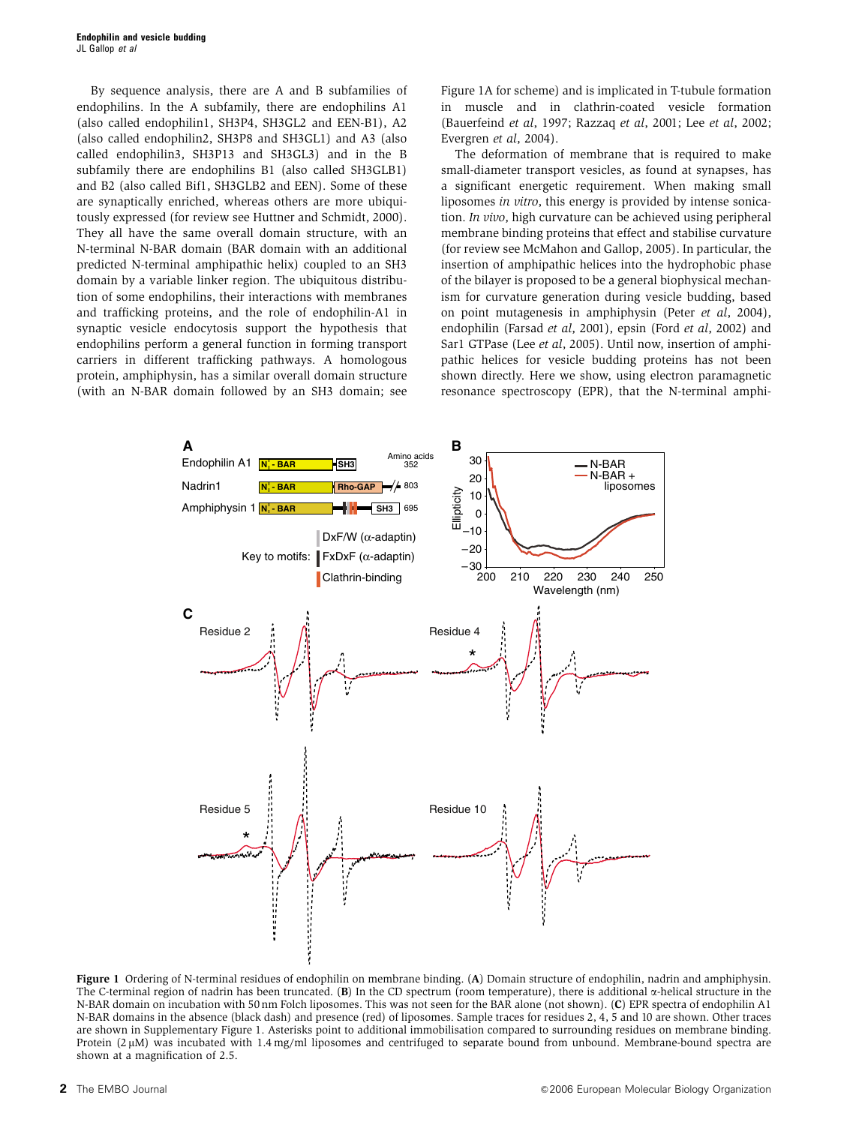By sequence analysis, there are A and B subfamilies of endophilins. In the A subfamily, there are endophilins A1 (also called endophilin1, SH3P4, SH3GL2 and EEN-B1), A2 (also called endophilin2, SH3P8 and SH3GL1) and A3 (also called endophilin3, SH3P13 and SH3GL3) and in the B subfamily there are endophilins B1 (also called SH3GLB1) and B2 (also called Bif1, SH3GLB2 and EEN). Some of these are synaptically enriched, whereas others are more ubiquitously expressed (for review see Huttner and Schmidt, 2000). They all have the same overall domain structure, with an N-terminal N-BAR domain (BAR domain with an additional predicted N-terminal amphipathic helix) coupled to an SH3 domain by a variable linker region. The ubiquitous distribution of some endophilins, their interactions with membranes and trafficking proteins, and the role of endophilin-A1 in synaptic vesicle endocytosis support the hypothesis that endophilins perform a general function in forming transport carriers in different trafficking pathways. A homologous protein, amphiphysin, has a similar overall domain structure (with an N-BAR domain followed by an SH3 domain; see

Figure 1A for scheme) and is implicated in T-tubule formation in muscle and in clathrin-coated vesicle formation (Bauerfeind et al, 1997; Razzaq et al, 2001; Lee et al, 2002; Evergren et al, 2004).

The deformation of membrane that is required to make small-diameter transport vesicles, as found at synapses, has a significant energetic requirement. When making small liposomes in vitro, this energy is provided by intense sonication. In vivo, high curvature can be achieved using peripheral membrane binding proteins that effect and stabilise curvature (for review see McMahon and Gallop, 2005). In particular, the insertion of amphipathic helices into the hydrophobic phase of the bilayer is proposed to be a general biophysical mechanism for curvature generation during vesicle budding, based on point mutagenesis in amphiphysin (Peter et al, 2004), endophilin (Farsad et al, 2001), epsin (Ford et al, 2002) and Sar1 GTPase (Lee et al, 2005). Until now, insertion of amphipathic helices for vesicle budding proteins has not been shown directly. Here we show, using electron paramagnetic resonance spectroscopy (EPR), that the N-terminal amphi-



Figure 1 Ordering of N-terminal residues of endophilin on membrane binding. (A) Domain structure of endophilin, nadrin and amphiphysin. The C-terminal region of nadrin has been truncated. (B) In the CD spectrum (room temperature), there is additional  $\alpha$ -helical structure in the N-BAR domain on incubation with 50 nm Folch liposomes. This was not seen for the BAR alone (not shown). (C) EPR spectra of endophilin A1 N-BAR domains in the absence (black dash) and presence (red) of liposomes. Sample traces for residues 2, 4, 5 and 10 are shown. Other traces are shown in Supplementary Figure 1. Asterisks point to additional immobilisation compared to surrounding residues on membrane binding. Protein (2  $\mu$ M) was incubated with 1.4 mg/ml liposomes and centrifuged to separate bound from unbound. Membrane-bound spectra are shown at a magnification of 2.5.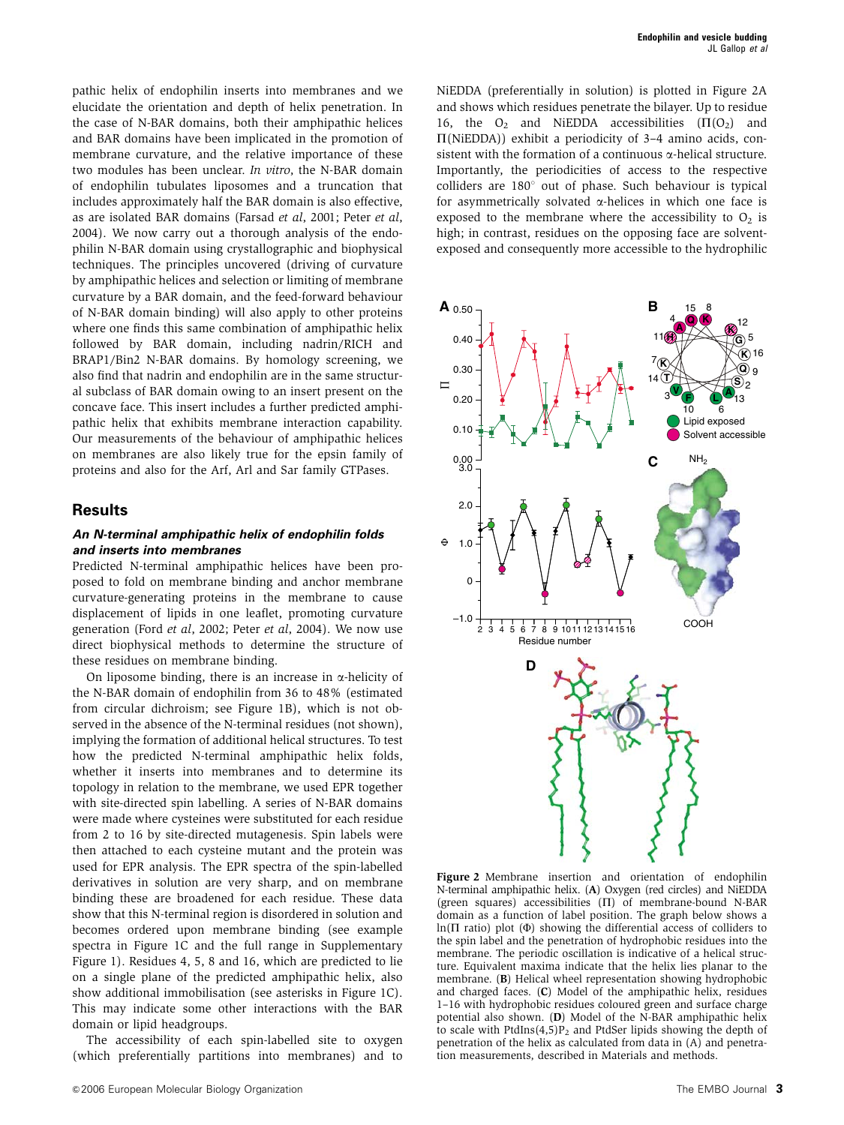pathic helix of endophilin inserts into membranes and we elucidate the orientation and depth of helix penetration. In the case of N-BAR domains, both their amphipathic helices and BAR domains have been implicated in the promotion of membrane curvature, and the relative importance of these two modules has been unclear. In vitro, the N-BAR domain of endophilin tubulates liposomes and a truncation that includes approximately half the BAR domain is also effective, as are isolated BAR domains (Farsad et al, 2001; Peter et al, 2004). We now carry out a thorough analysis of the endophilin N-BAR domain using crystallographic and biophysical techniques. The principles uncovered (driving of curvature by amphipathic helices and selection or limiting of membrane curvature by a BAR domain, and the feed-forward behaviour of N-BAR domain binding) will also apply to other proteins where one finds this same combination of amphipathic helix followed by BAR domain, including nadrin/RICH and BRAP1/Bin2 N-BAR domains. By homology screening, we also find that nadrin and endophilin are in the same structural subclass of BAR domain owing to an insert present on the concave face. This insert includes a further predicted amphipathic helix that exhibits membrane interaction capability. Our measurements of the behaviour of amphipathic helices on membranes are also likely true for the epsin family of proteins and also for the Arf, Arl and Sar family GTPases.

## **Results**

### **An N-terminal amphipathic helix of endophilin folds and inserts into membranes**

Predicted N-terminal amphipathic helices have been proposed to fold on membrane binding and anchor membrane curvature-generating proteins in the membrane to cause displacement of lipids in one leaflet, promoting curvature generation (Ford et al, 2002; Peter et al, 2004). We now use direct biophysical methods to determine the structure of these residues on membrane binding.

On liposome binding, there is an increase in  $\alpha$ -helicity of the N-BAR domain of endophilin from 36 to 48% (estimated from circular dichroism; see Figure 1B), which is not observed in the absence of the N-terminal residues (not shown), implying the formation of additional helical structures. To test how the predicted N-terminal amphipathic helix folds, whether it inserts into membranes and to determine its topology in relation to the membrane, we used EPR together with site-directed spin labelling. A series of N-BAR domains were made where cysteines were substituted for each residue from 2 to 16 by site-directed mutagenesis. Spin labels were then attached to each cysteine mutant and the protein was used for EPR analysis. The EPR spectra of the spin-labelled derivatives in solution are very sharp, and on membrane binding these are broadened for each residue. These data show that this N-terminal region is disordered in solution and becomes ordered upon membrane binding (see example spectra in Figure 1C and the full range in Supplementary Figure 1). Residues 4, 5, 8 and 16, which are predicted to lie on a single plane of the predicted amphipathic helix, also show additional immobilisation (see asterisks in Figure 1C). This may indicate some other interactions with the BAR domain or lipid headgroups.

The accessibility of each spin-labelled site to oxygen (which preferentially partitions into membranes) and to NiEDDA (preferentially in solution) is plotted in Figure 2A and shows which residues penetrate the bilayer. Up to residue 16, the  $O_2$  and NiEDDA accessibilities  $(\Pi(O_2))$  and  $\Pi(NiEDDA)$  exhibit a periodicity of 3–4 amino acids, consistent with the formation of a continuous  $\alpha$ -helical structure. Importantly, the periodicities of access to the respective colliders are  $180^\circ$  out of phase. Such behaviour is typical for asymmetrically solvated  $\alpha$ -helices in which one face is exposed to the membrane where the accessibility to  $O<sub>2</sub>$  is high; in contrast, residues on the opposing face are solventexposed and consequently more accessible to the hydrophilic



Figure 2 Membrane insertion and orientation of endophilin N-terminal amphipathic helix. (A) Oxygen (red circles) and NiEDDA (green squares) accessibilities  $(\Pi)$  of membrane-bound N-BAR domain as a function of label position. The graph below shows a  $ln(\Pi$  ratio) plot ( $\Phi$ ) showing the differential access of colliders to the spin label and the penetration of hydrophobic residues into the membrane. The periodic oscillation is indicative of a helical structure. Equivalent maxima indicate that the helix lies planar to the membrane. (B) Helical wheel representation showing hydrophobic and charged faces. (C) Model of the amphipathic helix, residues 1–16 with hydrophobic residues coloured green and surface charge potential also shown. (D) Model of the N-BAR amphipathic helix to scale with PtdIns $(4,5)P_2$  and PtdSer lipids showing the depth of penetration of the helix as calculated from data in (A) and penetration measurements, described in Materials and methods.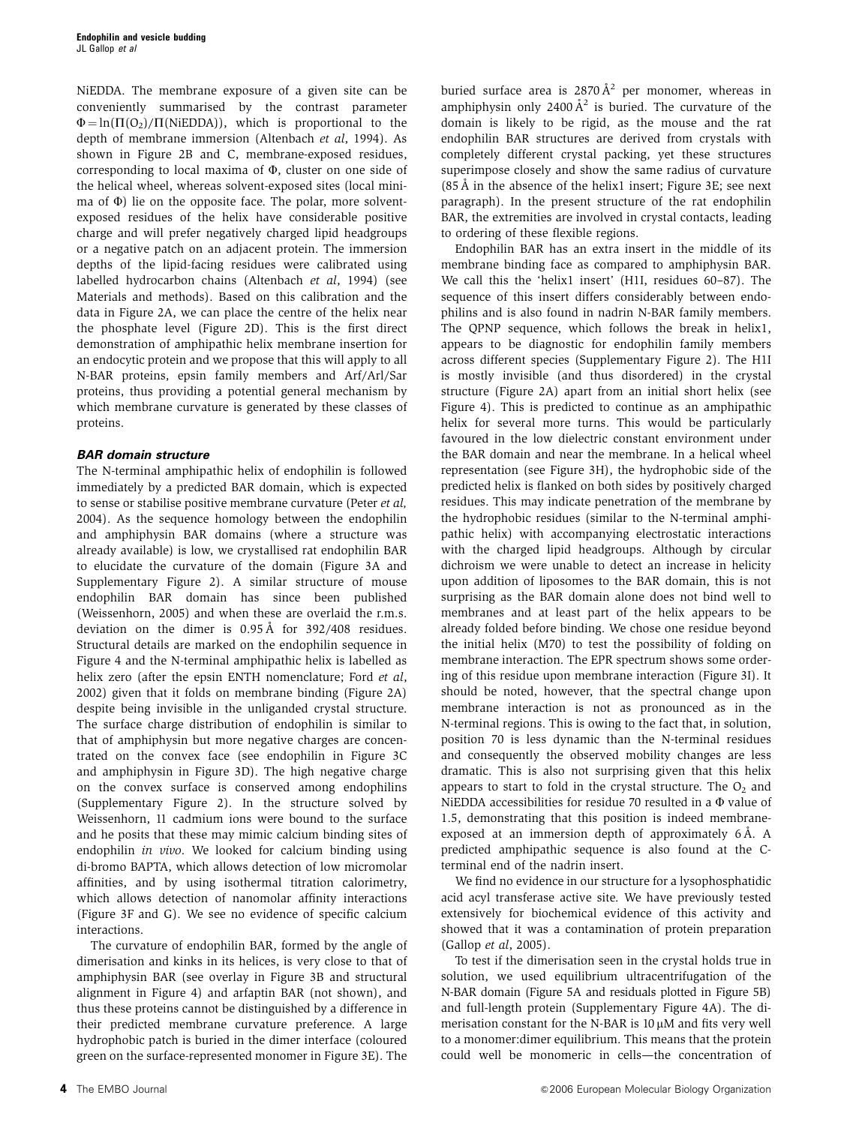NiEDDA. The membrane exposure of a given site can be conveniently summarised by the contrast parameter  $\Phi = \ln(\Pi(O_2)/\Pi(NiEDDA))$ , which is proportional to the depth of membrane immersion (Altenbach et al, 1994). As shown in Figure 2B and C, membrane-exposed residues, corresponding to local maxima of  $\Phi$ , cluster on one side of the helical wheel, whereas solvent-exposed sites (local minima of  $\Phi$ ) lie on the opposite face. The polar, more solventexposed residues of the helix have considerable positive charge and will prefer negatively charged lipid headgroups or a negative patch on an adjacent protein. The immersion depths of the lipid-facing residues were calibrated using labelled hydrocarbon chains (Altenbach et al, 1994) (see Materials and methods). Based on this calibration and the data in Figure 2A, we can place the centre of the helix near the phosphate level (Figure 2D). This is the first direct demonstration of amphipathic helix membrane insertion for an endocytic protein and we propose that this will apply to all N-BAR proteins, epsin family members and Arf/Arl/Sar proteins, thus providing a potential general mechanism by which membrane curvature is generated by these classes of proteins.

#### **BAR domain structure**

The N-terminal amphipathic helix of endophilin is followed immediately by a predicted BAR domain, which is expected to sense or stabilise positive membrane curvature (Peter et al, 2004). As the sequence homology between the endophilin and amphiphysin BAR domains (where a structure was already available) is low, we crystallised rat endophilin BAR to elucidate the curvature of the domain (Figure 3A and Supplementary Figure 2). A similar structure of mouse endophilin BAR domain has since been published (Weissenhorn, 2005) and when these are overlaid the r.m.s. deviation on the dimer is  $0.95 \text{ Å}$  for  $392/408$  residues. Structural details are marked on the endophilin sequence in Figure 4 and the N-terminal amphipathic helix is labelled as helix zero (after the epsin ENTH nomenclature; Ford et al, 2002) given that it folds on membrane binding (Figure 2A) despite being invisible in the unliganded crystal structure. The surface charge distribution of endophilin is similar to that of amphiphysin but more negative charges are concentrated on the convex face (see endophilin in Figure 3C and amphiphysin in Figure 3D). The high negative charge on the convex surface is conserved among endophilins (Supplementary Figure 2). In the structure solved by Weissenhorn, 11 cadmium ions were bound to the surface and he posits that these may mimic calcium binding sites of endophilin in vivo. We looked for calcium binding using di-bromo BAPTA, which allows detection of low micromolar affinities, and by using isothermal titration calorimetry, which allows detection of nanomolar affinity interactions (Figure 3F and G). We see no evidence of specific calcium interactions.

The curvature of endophilin BAR, formed by the angle of dimerisation and kinks in its helices, is very close to that of amphiphysin BAR (see overlay in Figure 3B and structural alignment in Figure 4) and arfaptin BAR (not shown), and thus these proteins cannot be distinguished by a difference in their predicted membrane curvature preference. A large hydrophobic patch is buried in the dimer interface (coloured green on the surface-represented monomer in Figure 3E). The

buried surface area is  $2870 \text{ Å}^2$  per monomer, whereas in amphiphysin only 2400  $A^2$  is buried. The curvature of the domain is likely to be rigid, as the mouse and the rat endophilin BAR structures are derived from crystals with completely different crystal packing, yet these structures superimpose closely and show the same radius of curvature  $(85 \text{ Å}$  in the absence of the helix1 insert; Figure 3E; see next paragraph). In the present structure of the rat endophilin BAR, the extremities are involved in crystal contacts, leading to ordering of these flexible regions.

Endophilin BAR has an extra insert in the middle of its membrane binding face as compared to amphiphysin BAR. We call this the 'helix1 insert' (H1I, residues 60–87). The sequence of this insert differs considerably between endophilins and is also found in nadrin N-BAR family members. The QPNP sequence, which follows the break in helix1, appears to be diagnostic for endophilin family members across different species (Supplementary Figure 2). The H1I is mostly invisible (and thus disordered) in the crystal structure (Figure 2A) apart from an initial short helix (see Figure 4). This is predicted to continue as an amphipathic helix for several more turns. This would be particularly favoured in the low dielectric constant environment under the BAR domain and near the membrane. In a helical wheel representation (see Figure 3H), the hydrophobic side of the predicted helix is flanked on both sides by positively charged residues. This may indicate penetration of the membrane by the hydrophobic residues (similar to the N-terminal amphipathic helix) with accompanying electrostatic interactions with the charged lipid headgroups. Although by circular dichroism we were unable to detect an increase in helicity upon addition of liposomes to the BAR domain, this is not surprising as the BAR domain alone does not bind well to membranes and at least part of the helix appears to be already folded before binding. We chose one residue beyond the initial helix (M70) to test the possibility of folding on membrane interaction. The EPR spectrum shows some ordering of this residue upon membrane interaction (Figure 3I). It should be noted, however, that the spectral change upon membrane interaction is not as pronounced as in the N-terminal regions. This is owing to the fact that, in solution, position 70 is less dynamic than the N-terminal residues and consequently the observed mobility changes are less dramatic. This is also not surprising given that this helix appears to start to fold in the crystal structure. The  $O_2$  and NIEDDA accessibilities for residue 70 resulted in a  $\Phi$  value of 1.5, demonstrating that this position is indeed membraneexposed at an immersion depth of approximately  $6 \text{\AA}$ . A predicted amphipathic sequence is also found at the Cterminal end of the nadrin insert.

We find no evidence in our structure for a lysophosphatidic acid acyl transferase active site. We have previously tested extensively for biochemical evidence of this activity and showed that it was a contamination of protein preparation (Gallop et al, 2005).

To test if the dimerisation seen in the crystal holds true in solution, we used equilibrium ultracentrifugation of the N-BAR domain (Figure 5A and residuals plotted in Figure 5B) and full-length protein (Supplementary Figure 4A). The dimerisation constant for the N-BAR is 10  $\mu$ M and fits very well to a monomer:dimer equilibrium. This means that the protein could well be monomeric in cells—the concentration of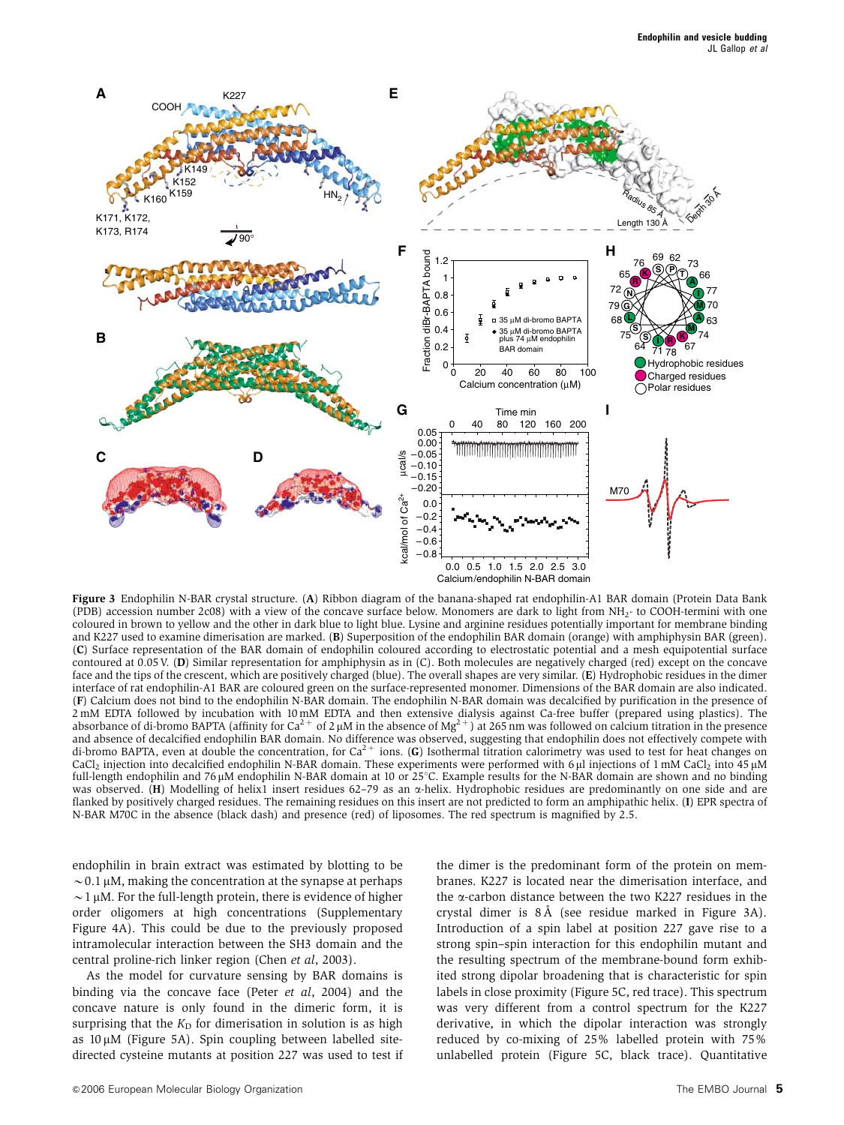

Figure 3 Endophilin N-BAR crystal structure. (A) Ribbon diagram of the banana-shaped rat endophilin-A1 BAR domain (Protein Data Bank  $(PDB)$  accession number 2c08) with a view of the concave surface below. Monomers are dark to light from NH<sub>2</sub>- to COOH-termini with one coloured in brown to yellow and the other in dark blue to light blue. Lysine and arginine residues potentially important for membrane binding and K227 used to examine dimerisation are marked. (B) Superposition of the endophilin BAR domain (orange) with amphiphysin BAR (green). (C) Surface representation of the BAR domain of endophilin coloured according to electrostatic potential and a mesh equipotential surface contoured at 0.05 V. (D) Similar representation for amphiphysin as in (C). Both molecules are negatively charged (red) except on the concave face and the tips of the crescent, which are positively charged (blue). The overall shapes are very similar. (E) Hydrophobic residues in the dimer interface of rat endophilin-A1 BAR are coloured green on the surface-represented monomer. Dimensions of the BAR domain are also indicated. (F) Calcium does not bind to the endophilin N-BAR domain. The endophilin N-BAR domain was decalcified by purification in the presence of 2 mM EDTA followed by incubation with 10 mM EDTA and then extensive dialysis against Ca-free buffer (prepared using plastics). The absorbance of di-bromo BAPTA (affinity for Ca<sup>2+</sup> of 2  $\mu$ M in the absence of Mg<sup>2+</sup>) at 265 nm was followed on calcium titration in the presence and absence of decalcified endophilin BAR domain. No difference was observed, suggesting that endophilin does not effectively compete with di-bromo BAPTA, even at double the concentration, for  $Ca^{2+}$  ions. (G) Isothermal titration calorimetry was used to test for heat changes on CaCl<sub>2</sub> injection into decalcified endophilin N-BAR domain. These experiments were performed with 6 ul injections of 1 mM CaCl<sub>2</sub> into 45 uM full-length endophilin and 76  $\mu$ M endophilin N-BAR domain at 10 or 25°C. Example results for the N-BAR domain are shown and no binding was observed. (H) Modelling of helix1 insert residues 62-79 as an  $\alpha$ -helix. Hydrophobic residues are predominantly on one side and are flanked by positively charged residues. The remaining residues on this insert are not predicted to form an amphipathic helix. (I) EPR spectra of N-BAR M70C in the absence (black dash) and presence (red) of liposomes. The red spectrum is magnified by 2.5.

endophilin in brain extract was estimated by blotting to be  $\sim$  0.1 uM, making the concentration at the synapse at perhaps  $\sim$  1 uM. For the full-length protein, there is evidence of higher order oligomers at high concentrations (Supplementary Figure 4A). This could be due to the previously proposed intramolecular interaction between the SH3 domain and the central proline-rich linker region (Chen et al, 2003).

As the model for curvature sensing by BAR domains is binding via the concave face (Peter et al, 2004) and the concave nature is only found in the dimeric form, it is surprising that the  $K_D$  for dimerisation in solution is as high as  $10 \mu$ M (Figure 5A). Spin coupling between labelled sitedirected cysteine mutants at position 227 was used to test if

the dimer is the predominant form of the protein on membranes. K227 is located near the dimerisation interface, and the a-carbon distance between the two K227 residues in the crystal dimer is 8 A˚ (see residue marked in Figure 3A). Introduction of a spin label at position 227 gave rise to a strong spin–spin interaction for this endophilin mutant and the resulting spectrum of the membrane-bound form exhibited strong dipolar broadening that is characteristic for spin labels in close proximity (Figure 5C, red trace). This spectrum was very different from a control spectrum for the K227 derivative, in which the dipolar interaction was strongly reduced by co-mixing of 25% labelled protein with 75% unlabelled protein (Figure 5C, black trace). Quantitative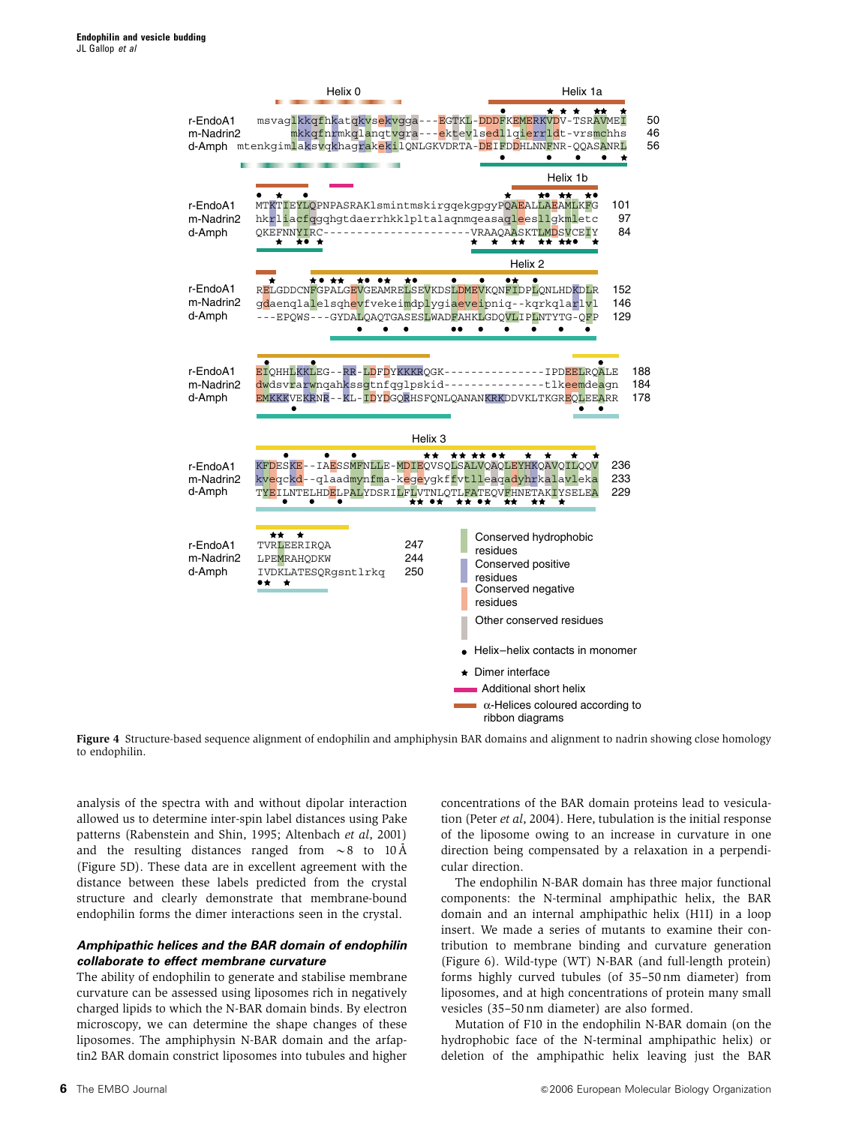

Figure 4 Structure-based sequence alignment of endophilin and amphiphysin BAR domains and alignment to nadrin showing close homology to endophilin.

analysis of the spectra with and without dipolar interaction allowed us to determine inter-spin label distances using Pake patterns (Rabenstein and Shin, 1995; Altenbach et al, 2001) and the resulting distances ranged from  $\sim$ 8 to 10 Å (Figure 5D). These data are in excellent agreement with the distance between these labels predicted from the crystal structure and clearly demonstrate that membrane-bound endophilin forms the dimer interactions seen in the crystal.

#### **Amphipathic helices and the BAR domain of endophilin collaborate to effect membrane curvature**

The ability of endophilin to generate and stabilise membrane curvature can be assessed using liposomes rich in negatively charged lipids to which the N-BAR domain binds. By electron microscopy, we can determine the shape changes of these liposomes. The amphiphysin N-BAR domain and the arfaptin2 BAR domain constrict liposomes into tubules and higher

concentrations of the BAR domain proteins lead to vesiculation (Peter et al, 2004). Here, tubulation is the initial response of the liposome owing to an increase in curvature in one direction being compensated by a relaxation in a perpendicular direction.

The endophilin N-BAR domain has three major functional components: the N-terminal amphipathic helix, the BAR domain and an internal amphipathic helix (H1I) in a loop insert. We made a series of mutants to examine their contribution to membrane binding and curvature generation (Figure 6). Wild-type (WT) N-BAR (and full-length protein) forms highly curved tubules (of 35–50 nm diameter) from liposomes, and at high concentrations of protein many small vesicles (35–50 nm diameter) are also formed.

Mutation of F10 in the endophilin N-BAR domain (on the hydrophobic face of the N-terminal amphipathic helix) or deletion of the amphipathic helix leaving just the BAR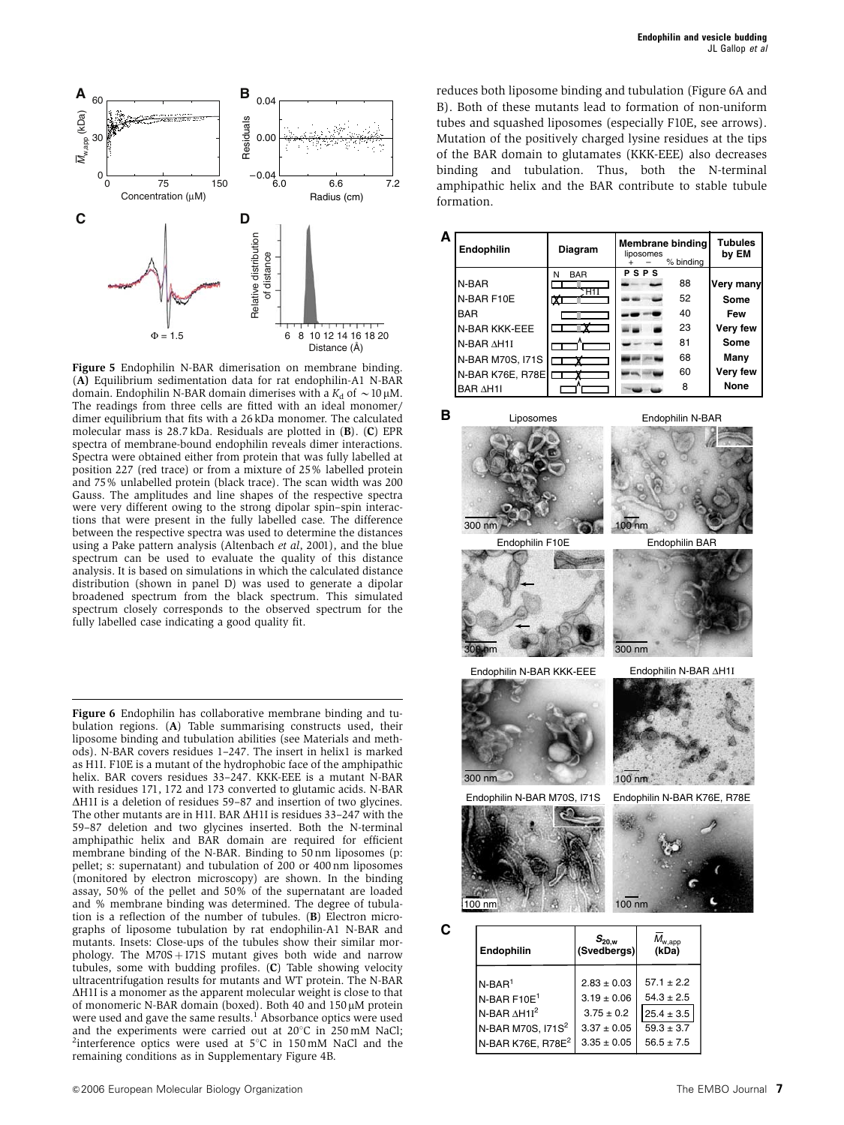

Figure 5 Endophilin N-BAR dimerisation on membrane binding. (A) Equilibrium sedimentation data for rat endophilin-A1 N-BAR domain. Endophilin N-BAR domain dimerises with a  $K_d$  of  $\sim 10 \mu$ M. The readings from three cells are fitted with an ideal monomer/ dimer equilibrium that fits with a 26 kDa monomer. The calculated molecular mass is 28.7 kDa. Residuals are plotted in (B). (C) EPR spectra of membrane-bound endophilin reveals dimer interactions. Spectra were obtained either from protein that was fully labelled at position 227 (red trace) or from a mixture of 25% labelled protein and 75% unlabelled protein (black trace). The scan width was 200 Gauss. The amplitudes and line shapes of the respective spectra were very different owing to the strong dipolar spin–spin interactions that were present in the fully labelled case. The difference between the respective spectra was used to determine the distances using a Pake pattern analysis (Altenbach et al, 2001), and the blue spectrum can be used to evaluate the quality of this distance analysis. It is based on simulations in which the calculated distance distribution (shown in panel D) was used to generate a dipolar broadened spectrum from the black spectrum. This simulated spectrum closely corresponds to the observed spectrum for the fully labelled case indicating a good quality fit.

Figure 6 Endophilin has collaborative membrane binding and tubulation regions. (A) Table summarising constructs used, their liposome binding and tubulation abilities (see Materials and methods). N-BAR covers residues 1–247. The insert in helix1 is marked as H1I. F10E is a mutant of the hydrophobic face of the amphipathic helix. BAR covers residues 33–247. KKK-EEE is a mutant N-BAR with residues 171, 172 and 173 converted to glutamic acids. N-BAR  $\Delta H11$  is a deletion of residues 59–87 and insertion of two glycines. The other mutants are in H1I. BAR  $\Delta$ H1I is residues 33-247 with the 59–87 deletion and two glycines inserted. Both the N-terminal amphipathic helix and BAR domain are required for efficient membrane binding of the N-BAR. Binding to 50 nm liposomes (p: pellet; s: supernatant) and tubulation of 200 or 400 nm liposomes (monitored by electron microscopy) are shown. In the binding assay, 50% of the pellet and 50% of the supernatant are loaded and % membrane binding was determined. The degree of tubulation is a reflection of the number of tubules. (B) Electron micrographs of liposome tubulation by rat endophilin-A1 N-BAR and mutants. Insets: Close-ups of the tubules show their similar morphology. The  $M70S + I71S$  mutant gives both wide and narrow tubules, some with budding profiles. (C) Table showing velocity ultracentrifugation results for mutants and WT protein. The N-BAR  $\Delta$ H1I is a monomer as the apparent molecular weight is close to that of monomeric N-BAR domain (boxed). Both 40 and 150µM protein<br>were used and gave the same results.<sup>1</sup> Absorbance optics were used and the experiments were carried out at  $20^{\circ}$ C in  $250$  mM NaCl; <sup>2</sup>interference optics were used at  $5^{\circ}$ C in 150 mM NaCl and the remaining conditions as in Supplementary Figure 4B.

reduces both liposome binding and tubulation (Figure 6A and B). Both of these mutants lead to formation of non-uniform tubes and squashed liposomes (especially F10E, see arrows). Mutation of the positively charged lysine residues at the tips of the BAR domain to glutamates (KKK-EEE) also decreases binding and tubulation. Thus, both the N-terminal amphipathic helix and the BAR contribute to stable tubule formation.

| А | Endophilin       | <b>Diagram</b>  | <b>Membrane binding</b><br>liposomes | % binding | Tubules<br>by EM |
|---|------------------|-----------------|--------------------------------------|-----------|------------------|
|   | N-BAR            | <b>BAR</b><br>N | PSPS                                 | 88        |                  |
|   |                  | H1I             |                                      | 52        | Very many        |
|   | N-BAR F10E       | ₥               |                                      |           | Some             |
|   | <b>BAR</b>       |                 |                                      | 40        | Few              |
|   | N-BAR KKK-EEE    |                 |                                      | 23        | Very few         |
|   | N-BAR AH1I       |                 |                                      | 81        | Some             |
|   | N-BAR M70S, I71S |                 |                                      | 68        | Many             |
|   | N-BAR K76E, R78E |                 |                                      | 60        | Very few         |
|   | <b>BAR AH1I</b>  |                 |                                      | 8         | None             |

100 nm Endophilin N-BAR Endophilin N-BAR KKK-EEE Endophilin N-BAR ∆H1I 300 nm Endophilin F10E 300 nm Liposomes 300 nm

300 nm

Endophilin N-BAR M70S, I71S





Endophilin BAR

Endophilin N-BAR K76E, R78E



**C**

**B**

| <b>Endophilin</b>             | $\begin{vmatrix} S_{20,\text{w}} \\ \text{(Svedbergs)} \end{vmatrix}$ |                |
|-------------------------------|-----------------------------------------------------------------------|----------------|
| $N$ -BAR <sup>1</sup>         | $2.83 \pm 0.03$                                                       | $57.1 \pm 2.2$ |
| $N$ -BAR F10E <sup>1</sup>    | $3.19 \pm 0.06$                                                       | $54.3 \pm 2.5$ |
| N-BAR $\triangle H1I^2$       | $3.75 \pm 0.2$                                                        | $25.4 \pm 3.5$ |
| $N$ -BAR M70S, I71 $S2$       | $3.37 \pm 0.05$                                                       | $59.3 \pm 3.7$ |
| N-BAR K76E, R78E <sup>2</sup> | $3.35 \pm 0.05$                                                       | $56.5 \pm 7.5$ |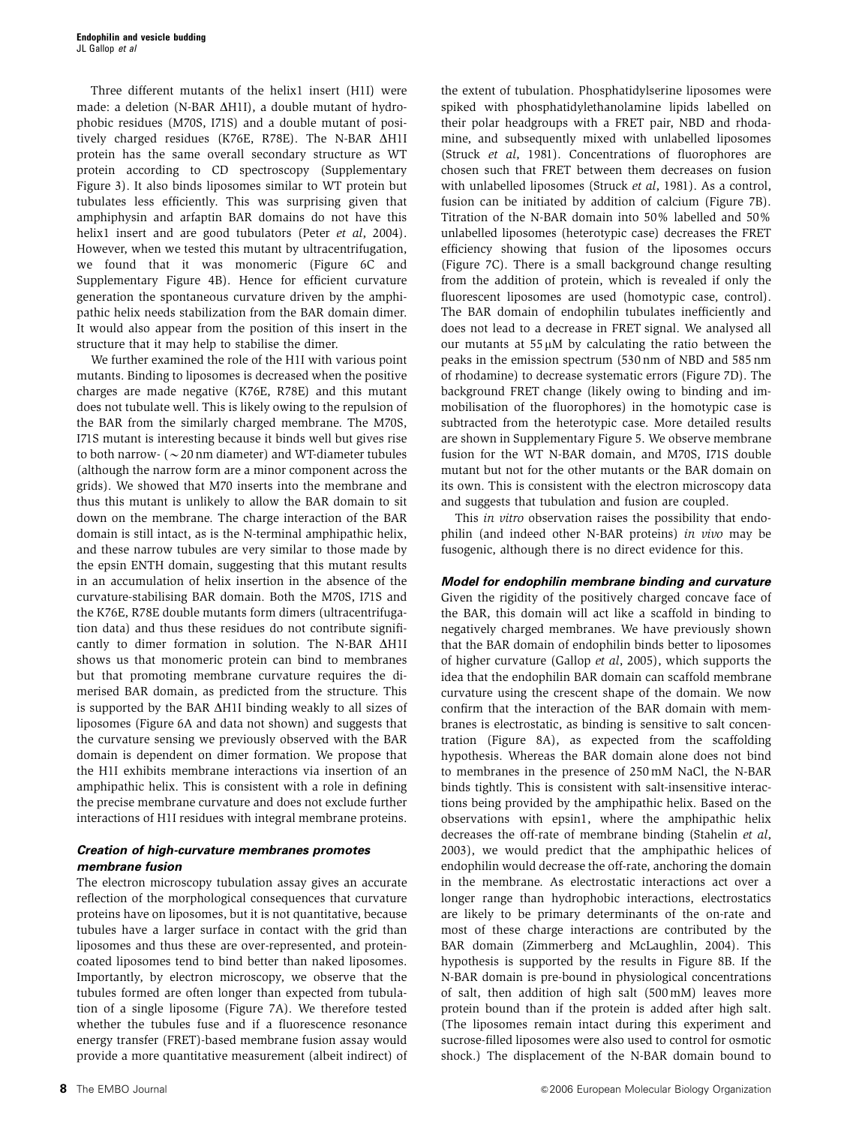Three different mutants of the helix1 insert (H1I) were made: a deletion (N-BAR  $\Delta H1I$ ), a double mutant of hydrophobic residues (M70S, I71S) and a double mutant of positively charged residues (K76E, R78E). The N-BAR  $\Delta H1I$ protein has the same overall secondary structure as WT protein according to CD spectroscopy (Supplementary Figure 3). It also binds liposomes similar to WT protein but tubulates less efficiently. This was surprising given that amphiphysin and arfaptin BAR domains do not have this helix1 insert and are good tubulators (Peter et al, 2004). However, when we tested this mutant by ultracentrifugation, we found that it was monomeric (Figure 6C and Supplementary Figure 4B). Hence for efficient curvature generation the spontaneous curvature driven by the amphipathic helix needs stabilization from the BAR domain dimer. It would also appear from the position of this insert in the structure that it may help to stabilise the dimer.

We further examined the role of the H1I with various point mutants. Binding to liposomes is decreased when the positive charges are made negative (K76E, R78E) and this mutant does not tubulate well. This is likely owing to the repulsion of the BAR from the similarly charged membrane. The M70S, I71S mutant is interesting because it binds well but gives rise to both narrow- ( $\sim$  20 nm diameter) and WT-diameter tubules (although the narrow form are a minor component across the grids). We showed that M70 inserts into the membrane and thus this mutant is unlikely to allow the BAR domain to sit down on the membrane. The charge interaction of the BAR domain is still intact, as is the N-terminal amphipathic helix, and these narrow tubules are very similar to those made by the epsin ENTH domain, suggesting that this mutant results in an accumulation of helix insertion in the absence of the curvature-stabilising BAR domain. Both the M70S, I71S and the K76E, R78E double mutants form dimers (ultracentrifugation data) and thus these residues do not contribute significantly to dimer formation in solution. The N-BAR  $\Delta H1I$ shows us that monomeric protein can bind to membranes but that promoting membrane curvature requires the dimerised BAR domain, as predicted from the structure. This is supported by the BAR  $\Delta H1I$  binding weakly to all sizes of liposomes (Figure 6A and data not shown) and suggests that the curvature sensing we previously observed with the BAR domain is dependent on dimer formation. We propose that the H1I exhibits membrane interactions via insertion of an amphipathic helix. This is consistent with a role in defining the precise membrane curvature and does not exclude further interactions of H1I residues with integral membrane proteins.

## **Creation of high-curvature membranes promotes membrane fusion**

The electron microscopy tubulation assay gives an accurate reflection of the morphological consequences that curvature proteins have on liposomes, but it is not quantitative, because tubules have a larger surface in contact with the grid than liposomes and thus these are over-represented, and proteincoated liposomes tend to bind better than naked liposomes. Importantly, by electron microscopy, we observe that the tubules formed are often longer than expected from tubulation of a single liposome (Figure 7A). We therefore tested whether the tubules fuse and if a fluorescence resonance energy transfer (FRET)-based membrane fusion assay would provide a more quantitative measurement (albeit indirect) of

the extent of tubulation. Phosphatidylserine liposomes were spiked with phosphatidylethanolamine lipids labelled on their polar headgroups with a FRET pair, NBD and rhodamine, and subsequently mixed with unlabelled liposomes (Struck et al, 1981). Concentrations of fluorophores are chosen such that FRET between them decreases on fusion with unlabelled liposomes (Struck et al, 1981). As a control, fusion can be initiated by addition of calcium (Figure 7B). Titration of the N-BAR domain into 50% labelled and 50% unlabelled liposomes (heterotypic case) decreases the FRET efficiency showing that fusion of the liposomes occurs (Figure 7C). There is a small background change resulting from the addition of protein, which is revealed if only the fluorescent liposomes are used (homotypic case, control). The BAR domain of endophilin tubulates inefficiently and does not lead to a decrease in FRET signal. We analysed all our mutants at  $55 \mu M$  by calculating the ratio between the peaks in the emission spectrum (530 nm of NBD and 585 nm of rhodamine) to decrease systematic errors (Figure 7D). The background FRET change (likely owing to binding and immobilisation of the fluorophores) in the homotypic case is subtracted from the heterotypic case. More detailed results are shown in Supplementary Figure 5. We observe membrane fusion for the WT N-BAR domain, and M70S, I71S double mutant but not for the other mutants or the BAR domain on its own. This is consistent with the electron microscopy data and suggests that tubulation and fusion are coupled.

This in vitro observation raises the possibility that endophilin (and indeed other N-BAR proteins) in vivo may be fusogenic, although there is no direct evidence for this.

#### **Model for endophilin membrane binding and curvature**

Given the rigidity of the positively charged concave face of the BAR, this domain will act like a scaffold in binding to negatively charged membranes. We have previously shown that the BAR domain of endophilin binds better to liposomes of higher curvature (Gallop et al, 2005), which supports the idea that the endophilin BAR domain can scaffold membrane curvature using the crescent shape of the domain. We now confirm that the interaction of the BAR domain with membranes is electrostatic, as binding is sensitive to salt concentration (Figure 8A), as expected from the scaffolding hypothesis. Whereas the BAR domain alone does not bind to membranes in the presence of 250 mM NaCl, the N-BAR binds tightly. This is consistent with salt-insensitive interactions being provided by the amphipathic helix. Based on the observations with epsin1, where the amphipathic helix decreases the off-rate of membrane binding (Stahelin et al, 2003), we would predict that the amphipathic helices of endophilin would decrease the off-rate, anchoring the domain in the membrane. As electrostatic interactions act over a longer range than hydrophobic interactions, electrostatics are likely to be primary determinants of the on-rate and most of these charge interactions are contributed by the BAR domain (Zimmerberg and McLaughlin, 2004). This hypothesis is supported by the results in Figure 8B. If the N-BAR domain is pre-bound in physiological concentrations of salt, then addition of high salt (500 mM) leaves more protein bound than if the protein is added after high salt. (The liposomes remain intact during this experiment and sucrose-filled liposomes were also used to control for osmotic shock.) The displacement of the N-BAR domain bound to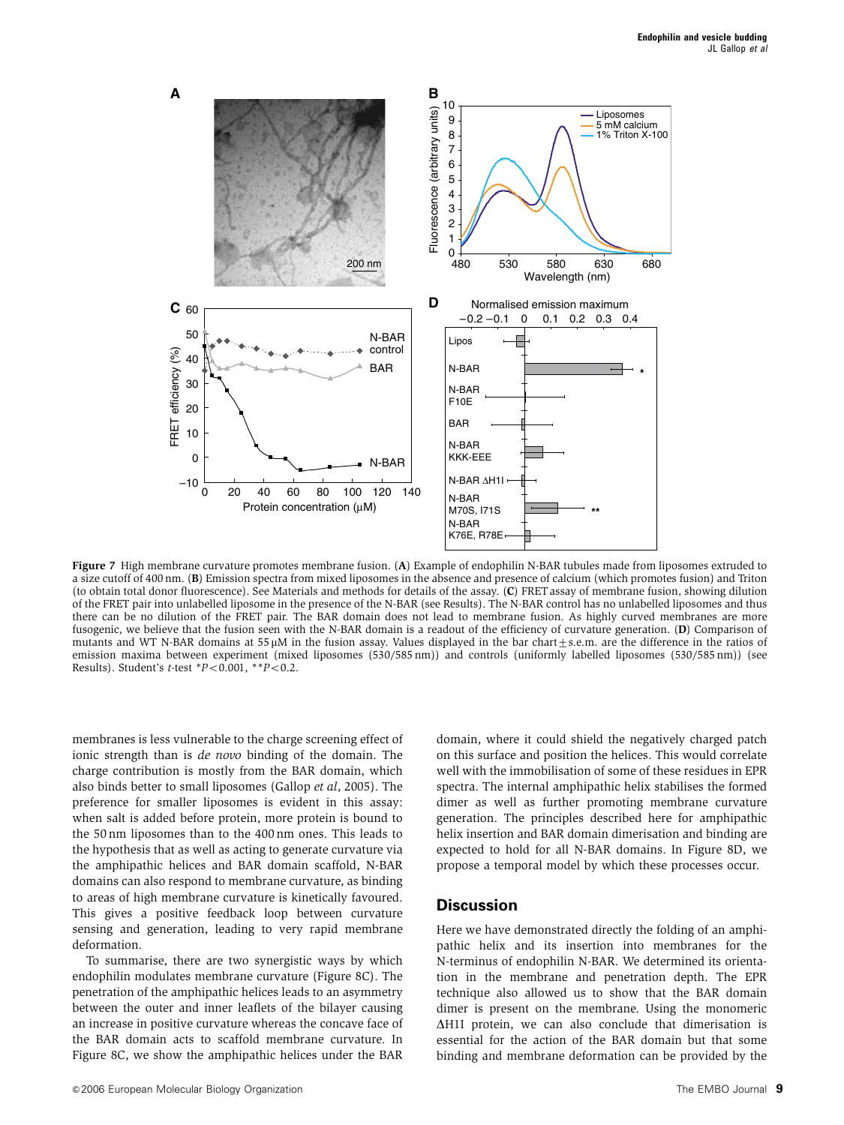

Figure 7 High membrane curvature promotes membrane fusion. (A) Example of endophilin N-BAR tubules made from liposomes extruded to a size cutoff of 400 nm. (B) Emission spectra from mixed liposomes in the absence and presence of calcium (which promotes fusion) and Triton (to obtain total donor fluorescence). See Materials and methods for details of the assay. (C) FRETassay of membrane fusion, showing dilution of the FRET pair into unlabelled liposome in the presence of the N-BAR (see Results). The N-BAR control has no unlabelled liposomes and thus there can be no dilution of the FRET pair. The BAR domain does not lead to membrane fusion. As highly curved membranes are more fusogenic, we believe that the fusion seen with the N-BAR domain is a readout of the efficiency of curvature generation. (D) Comparison of mutants and WT N-BAR domains at 55 µM in the fusion assay. Values displayed in the bar chart+s.e.m. are the difference in the ratios of emission maxima between experiment (mixed liposomes (530/585 nm)) and controls (uniformly labelled liposomes (530/585 nm)) (see Results). Student's t-test  $*P<0.001$ ,  $*P<0.2$ .

membranes is less vulnerable to the charge screening effect of ionic strength than is de novo binding of the domain. The charge contribution is mostly from the BAR domain, which also binds better to small liposomes (Gallop et al, 2005). The preference for smaller liposomes is evident in this assay: when salt is added before protein, more protein is bound to the 50 nm liposomes than to the 400 nm ones. This leads to the hypothesis that as well as acting to generate curvature via the amphipathic helices and BAR domain scaffold, N-BAR domains can also respond to membrane curvature, as binding to areas of high membrane curvature is kinetically favoured. This gives a positive feedback loop between curvature sensing and generation, leading to very rapid membrane deformation.

To summarise, there are two synergistic ways by which endophilin modulates membrane curvature (Figure 8C). The penetration of the amphipathic helices leads to an asymmetry between the outer and inner leaflets of the bilayer causing an increase in positive curvature whereas the concave face of the BAR domain acts to scaffold membrane curvature. In Figure 8C, we show the amphipathic helices under the BAR

&2006 European Molecular Biology Organization The EMBO Journal **9**

domain, where it could shield the negatively charged patch on this surface and position the helices. This would correlate well with the immobilisation of some of these residues in EPR spectra. The internal amphipathic helix stabilises the formed dimer as well as further promoting membrane curvature generation. The principles described here for amphipathic helix insertion and BAR domain dimerisation and binding are expected to hold for all N-BAR domains. In Figure 8D, we propose a temporal model by which these processes occur.

## **Discussion**

Here we have demonstrated directly the folding of an amphipathic helix and its insertion into membranes for the N-terminus of endophilin N-BAR. We determined its orientation in the membrane and penetration depth. The EPR technique also allowed us to show that the BAR domain dimer is present on the membrane. Using the monomeric  $\Delta H1$ I protein, we can also conclude that dimerisation is essential for the action of the BAR domain but that some binding and membrane deformation can be provided by the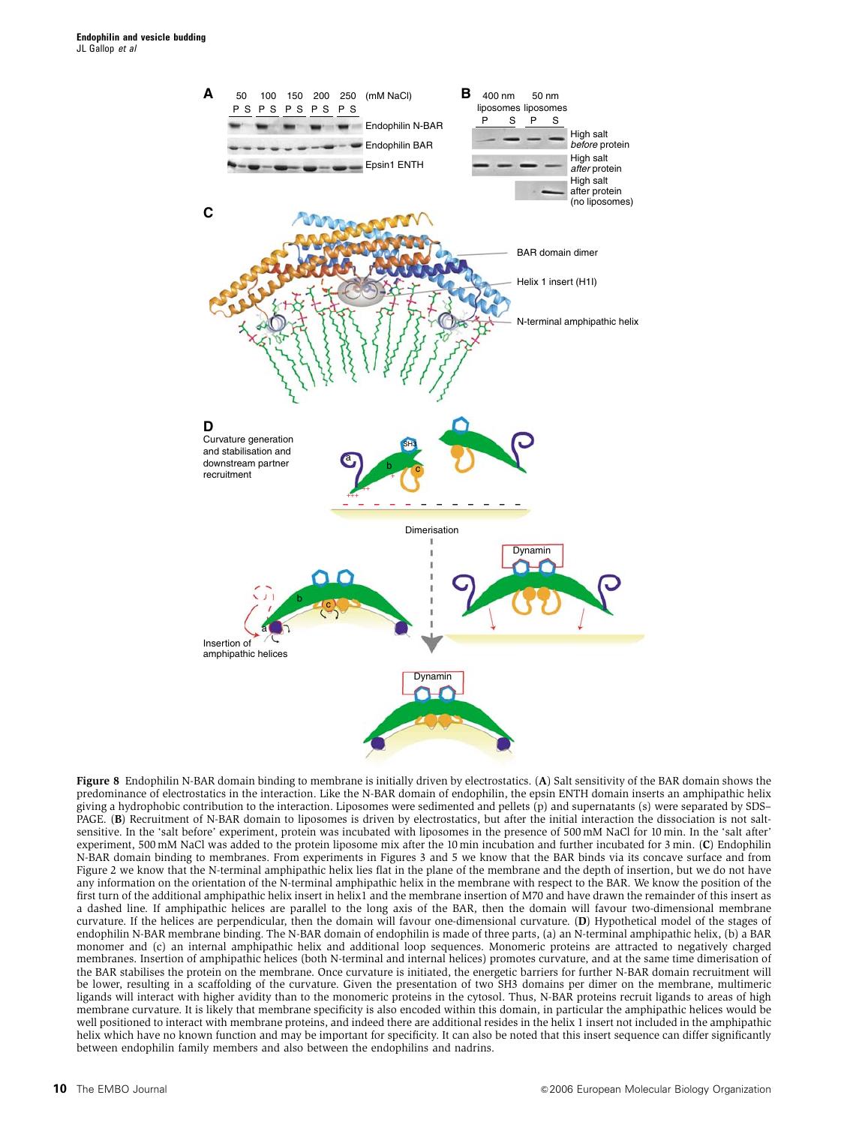

Figure 8 Endophilin N-BAR domain binding to membrane is initially driven by electrostatics. (A) Salt sensitivity of the BAR domain shows the predominance of electrostatics in the interaction. Like the N-BAR domain of endophilin, the epsin ENTH domain inserts an amphipathic helix giving a hydrophobic contribution to the interaction. Liposomes were sedimented and pellets (p) and supernatants (s) were separated by SDS– PAGE. (B) Recruitment of N-BAR domain to liposomes is driven by electrostatics, but after the initial interaction the dissociation is not saltsensitive. In the 'salt before' experiment, protein was incubated with liposomes in the presence of 500 mM NaCl for 10 min. In the 'salt after' experiment, 500 mM NaCl was added to the protein liposome mix after the 10 min incubation and further incubated for 3 min. (C) Endophilin N-BAR domain binding to membranes. From experiments in Figures 3 and 5 we know that the BAR binds via its concave surface and from Figure 2 we know that the N-terminal amphipathic helix lies flat in the plane of the membrane and the depth of insertion, but we do not have any information on the orientation of the N-terminal amphipathic helix in the membrane with respect to the BAR. We know the position of the first turn of the additional amphipathic helix insert in helix1 and the membrane insertion of M70 and have drawn the remainder of this insert as a dashed line. If amphipathic helices are parallel to the long axis of the BAR, then the domain will favour two-dimensional membrane curvature. If the helices are perpendicular, then the domain will favour one-dimensional curvature. (D) Hypothetical model of the stages of endophilin N-BAR membrane binding. The N-BAR domain of endophilin is made of three parts, (a) an N-terminal amphipathic helix, (b) a BAR monomer and (c) an internal amphipathic helix and additional loop sequences. Monomeric proteins are attracted to negatively charged membranes. Insertion of amphipathic helices (both N-terminal and internal helices) promotes curvature, and at the same time dimerisation of the BAR stabilises the protein on the membrane. Once curvature is initiated, the energetic barriers for further N-BAR domain recruitment will be lower, resulting in a scaffolding of the curvature. Given the presentation of two SH3 domains per dimer on the membrane, multimeric ligands will interact with higher avidity than to the monomeric proteins in the cytosol. Thus, N-BAR proteins recruit ligands to areas of high membrane curvature. It is likely that membrane specificity is also encoded within this domain, in particular the amphipathic helices would be well positioned to interact with membrane proteins, and indeed there are additional resides in the helix 1 insert not included in the amphipathic helix which have no known function and may be important for specificity. It can also be noted that this insert sequence can differ significantly between endophilin family members and also between the endophilins and nadrins.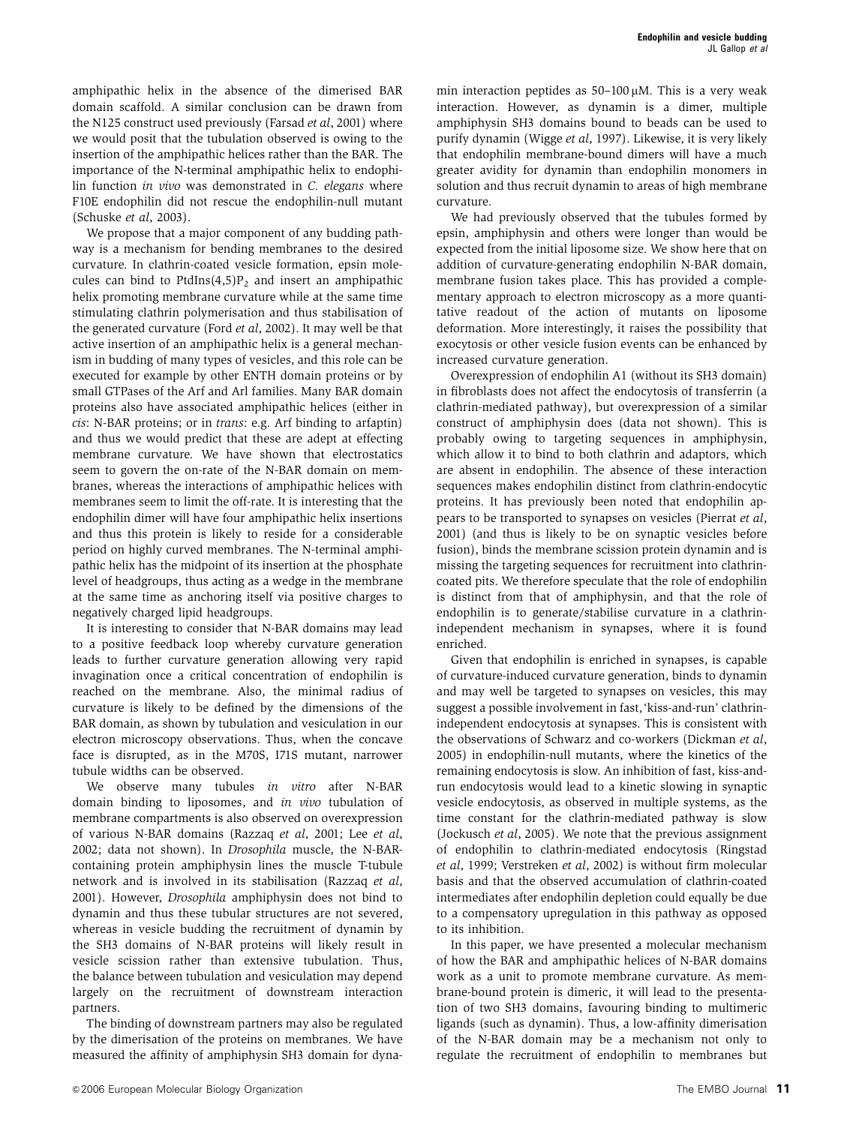amphipathic helix in the absence of the dimerised BAR domain scaffold. A similar conclusion can be drawn from the N125 construct used previously (Farsad et al, 2001) where we would posit that the tubulation observed is owing to the insertion of the amphipathic helices rather than the BAR. The importance of the N-terminal amphipathic helix to endophilin function in vivo was demonstrated in C. elegans where F10E endophilin did not rescue the endophilin-null mutant (Schuske et al, 2003).

We propose that a major component of any budding pathway is a mechanism for bending membranes to the desired curvature. In clathrin-coated vesicle formation, epsin molecules can bind to PtdIns $(4,5)P_2$  and insert an amphipathic helix promoting membrane curvature while at the same time stimulating clathrin polymerisation and thus stabilisation of the generated curvature (Ford et al, 2002). It may well be that active insertion of an amphipathic helix is a general mechanism in budding of many types of vesicles, and this role can be executed for example by other ENTH domain proteins or by small GTPases of the Arf and Arl families. Many BAR domain proteins also have associated amphipathic helices (either in cis: N-BAR proteins; or in trans: e.g. Arf binding to arfaptin) and thus we would predict that these are adept at effecting membrane curvature. We have shown that electrostatics seem to govern the on-rate of the N-BAR domain on membranes, whereas the interactions of amphipathic helices with membranes seem to limit the off-rate. It is interesting that the endophilin dimer will have four amphipathic helix insertions and thus this protein is likely to reside for a considerable period on highly curved membranes. The N-terminal amphipathic helix has the midpoint of its insertion at the phosphate level of headgroups, thus acting as a wedge in the membrane at the same time as anchoring itself via positive charges to negatively charged lipid headgroups.

It is interesting to consider that N-BAR domains may lead to a positive feedback loop whereby curvature generation leads to further curvature generation allowing very rapid invagination once a critical concentration of endophilin is reached on the membrane. Also, the minimal radius of curvature is likely to be defined by the dimensions of the BAR domain, as shown by tubulation and vesiculation in our electron microscopy observations. Thus, when the concave face is disrupted, as in the M70S, I71S mutant, narrower tubule widths can be observed.

We observe many tubules in vitro after N-BAR domain binding to liposomes, and in vivo tubulation of membrane compartments is also observed on overexpression of various N-BAR domains (Razzaq et al, 2001; Lee et al, 2002; data not shown). In Drosophila muscle, the N-BARcontaining protein amphiphysin lines the muscle T-tubule network and is involved in its stabilisation (Razzaq et al, 2001). However, Drosophila amphiphysin does not bind to dynamin and thus these tubular structures are not severed, whereas in vesicle budding the recruitment of dynamin by the SH3 domains of N-BAR proteins will likely result in vesicle scission rather than extensive tubulation. Thus, the balance between tubulation and vesiculation may depend largely on the recruitment of downstream interaction partners.

The binding of downstream partners may also be regulated by the dimerisation of the proteins on membranes. We have measured the affinity of amphiphysin SH3 domain for dynamin interaction peptides as  $50-100 \mu M$ . This is a very weak interaction. However, as dynamin is a dimer, multiple amphiphysin SH3 domains bound to beads can be used to purify dynamin (Wigge et al, 1997). Likewise, it is very likely that endophilin membrane-bound dimers will have a much greater avidity for dynamin than endophilin monomers in solution and thus recruit dynamin to areas of high membrane curvature.

We had previously observed that the tubules formed by epsin, amphiphysin and others were longer than would be expected from the initial liposome size. We show here that on addition of curvature-generating endophilin N-BAR domain, membrane fusion takes place. This has provided a complementary approach to electron microscopy as a more quantitative readout of the action of mutants on liposome deformation. More interestingly, it raises the possibility that exocytosis or other vesicle fusion events can be enhanced by increased curvature generation.

Overexpression of endophilin A1 (without its SH3 domain) in fibroblasts does not affect the endocytosis of transferrin (a clathrin-mediated pathway), but overexpression of a similar construct of amphiphysin does (data not shown). This is probably owing to targeting sequences in amphiphysin, which allow it to bind to both clathrin and adaptors, which are absent in endophilin. The absence of these interaction sequences makes endophilin distinct from clathrin-endocytic proteins. It has previously been noted that endophilin appears to be transported to synapses on vesicles (Pierrat et al, 2001) (and thus is likely to be on synaptic vesicles before fusion), binds the membrane scission protein dynamin and is missing the targeting sequences for recruitment into clathrincoated pits. We therefore speculate that the role of endophilin is distinct from that of amphiphysin, and that the role of endophilin is to generate/stabilise curvature in a clathrinindependent mechanism in synapses, where it is found enriched.

Given that endophilin is enriched in synapses, is capable of curvature-induced curvature generation, binds to dynamin and may well be targeted to synapses on vesicles, this may suggest a possible involvement in fast,'kiss-and-run' clathrinindependent endocytosis at synapses. This is consistent with the observations of Schwarz and co-workers (Dickman et al, 2005) in endophilin-null mutants, where the kinetics of the remaining endocytosis is slow. An inhibition of fast, kiss-andrun endocytosis would lead to a kinetic slowing in synaptic vesicle endocytosis, as observed in multiple systems, as the time constant for the clathrin-mediated pathway is slow (Jockusch et al, 2005). We note that the previous assignment of endophilin to clathrin-mediated endocytosis (Ringstad et al, 1999; Verstreken et al, 2002) is without firm molecular basis and that the observed accumulation of clathrin-coated intermediates after endophilin depletion could equally be due to a compensatory upregulation in this pathway as opposed to its inhibition.

In this paper, we have presented a molecular mechanism of how the BAR and amphipathic helices of N-BAR domains work as a unit to promote membrane curvature. As membrane-bound protein is dimeric, it will lead to the presentation of two SH3 domains, favouring binding to multimeric ligands (such as dynamin). Thus, a low-affinity dimerisation of the N-BAR domain may be a mechanism not only to regulate the recruitment of endophilin to membranes but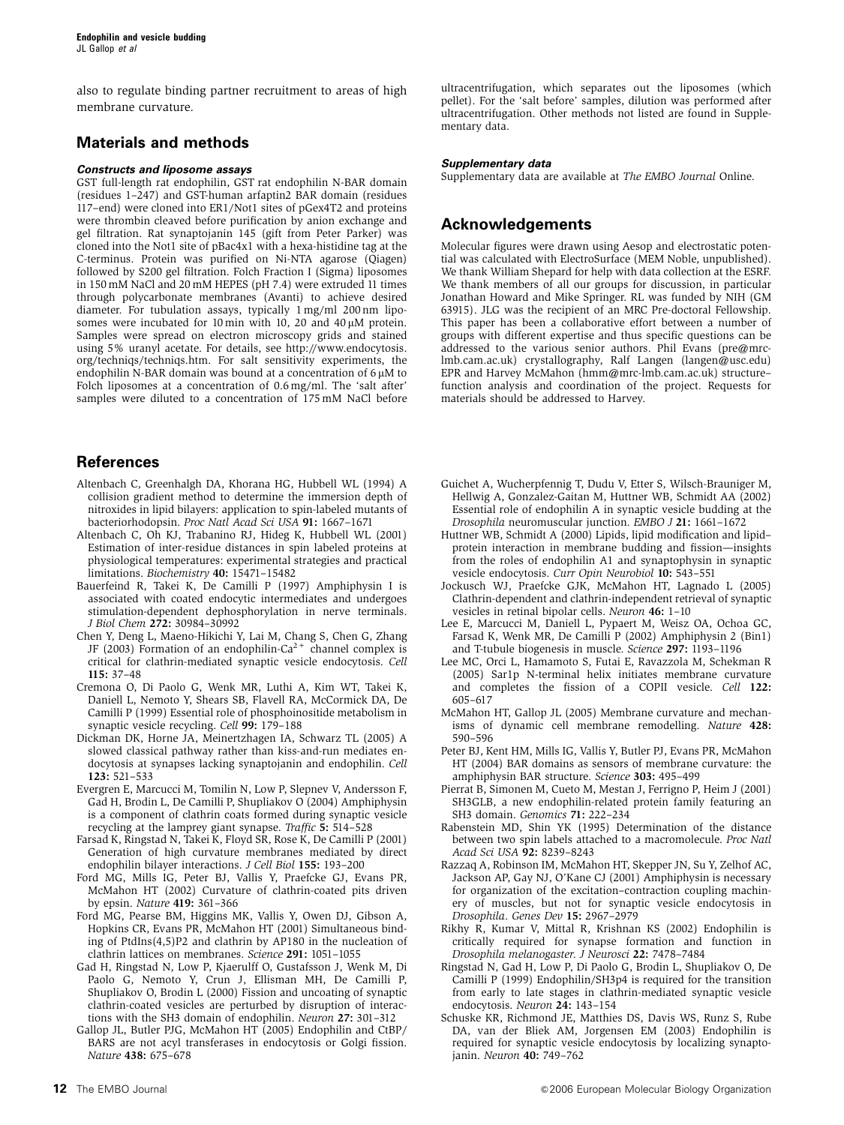also to regulate binding partner recruitment to areas of high membrane curvature.

# **Materials and methods**

#### **Constructs and liposome assays**

GST full-length rat endophilin, GST rat endophilin N-BAR domain (residues 1–247) and GST-human arfaptin2 BAR domain (residues 117–end) were cloned into ER1/Not1 sites of pGex4T2 and proteins were thrombin cleaved before purification by anion exchange and gel filtration. Rat synaptojanin 145 (gift from Peter Parker) was cloned into the Not1 site of pBac4x1 with a hexa-histidine tag at the C-terminus. Protein was purified on Ni-NTA agarose (Qiagen) followed by S200 gel filtration. Folch Fraction I (Sigma) liposomes in 150 mM NaCl and 20 mM HEPES (pH 7.4) were extruded 11 times through polycarbonate membranes (Avanti) to achieve desired diameter. For tubulation assays, typically 1 mg/ml 200 nm liposomes were incubated for 10 min with 10, 20 and  $40 \mu M$  protein. Samples were spread on electron microscopy grids and stained using 5% uranyl acetate. For details, see http://www.endocytosis. org/techniqs/techniqs.htm. For salt sensitivity experiments, the endophilin N-BAR domain was bound at a concentration of  $6 \mu$ M to Folch liposomes at a concentration of 0.6 mg/ml. The 'salt after' samples were diluted to a concentration of 175 mM NaCl before

## **References**

- Altenbach C, Greenhalgh DA, Khorana HG, Hubbell WL (1994) A collision gradient method to determine the immersion depth of nitroxides in lipid bilayers: application to spin-labeled mutants of bacteriorhodopsin. Proc Natl Acad Sci USA 91: 1667–1671
- Altenbach C, Oh KJ, Trabanino RJ, Hideg K, Hubbell WL (2001) Estimation of inter-residue distances in spin labeled proteins at physiological temperatures: experimental strategies and practical limitations. Biochemistry 40: 15471–15482
- Bauerfeind R, Takei K, De Camilli P (1997) Amphiphysin I is associated with coated endocytic intermediates and undergoes stimulation-dependent dephosphorylation in nerve terminals. J Biol Chem 272: 30984–30992
- Chen Y, Deng L, Maeno-Hikichi Y, Lai M, Chang S, Chen G, Zhang JF (2003) Formation of an endophilin-Ca<sup>2+</sup> channel complex is critical for clathrin-mediated synaptic vesicle endocytosis. Cell 115: 37–48
- Cremona O, Di Paolo G, Wenk MR, Luthi A, Kim WT, Takei K, Daniell L, Nemoto Y, Shears SB, Flavell RA, McCormick DA, De Camilli P (1999) Essential role of phosphoinositide metabolism in synaptic vesicle recycling. Cell 99: 179–188
- Dickman DK, Horne JA, Meinertzhagen IA, Schwarz TL (2005) A slowed classical pathway rather than kiss-and-run mediates endocytosis at synapses lacking synaptojanin and endophilin. Cell 123: 521–533
- Evergren E, Marcucci M, Tomilin N, Low P, Slepnev V, Andersson F, Gad H, Brodin L, De Camilli P, Shupliakov O (2004) Amphiphysin is a component of clathrin coats formed during synaptic vesicle recycling at the lamprey giant synapse. Traffic 5: 514–528
- Farsad K, Ringstad N, Takei K, Floyd SR, Rose K, De Camilli P (2001) Generation of high curvature membranes mediated by direct endophilin bilayer interactions. J Cell Biol 155: 193–200
- Ford MG, Mills IG, Peter BJ, Vallis Y, Praefcke GJ, Evans PR, McMahon HT (2002) Curvature of clathrin-coated pits driven by epsin. Nature 419: 361–366
- Ford MG, Pearse BM, Higgins MK, Vallis Y, Owen DJ, Gibson A, Hopkins CR, Evans PR, McMahon HT (2001) Simultaneous binding of PtdIns(4,5)P2 and clathrin by AP180 in the nucleation of clathrin lattices on membranes. Science 291: 1051–1055
- Gad H, Ringstad N, Low P, Kjaerulff O, Gustafsson J, Wenk M, Di Paolo G, Nemoto Y, Crun J, Ellisman MH, De Camilli P, Shupliakov O, Brodin L (2000) Fission and uncoating of synaptic clathrin-coated vesicles are perturbed by disruption of interactions with the SH3 domain of endophilin. Neuron 27: 301–312
- Gallop JL, Butler PJG, McMahon HT (2005) Endophilin and CtBP/ BARS are not acyl transferases in endocytosis or Golgi fission. Nature 438: 675–678

ultracentrifugation, which separates out the liposomes (which pellet). For the 'salt before' samples, dilution was performed after ultracentrifugation. Other methods not listed are found in Supplementary data.

#### **Supplementary data**

Supplementary data are available at The EMBO Journal Online.

# **Acknowledgements**

Molecular figures were drawn using Aesop and electrostatic potential was calculated with ElectroSurface (MEM Noble, unpublished). We thank William Shepard for help with data collection at the ESRF. We thank members of all our groups for discussion, in particular Jonathan Howard and Mike Springer. RL was funded by NIH (GM 63915). JLG was the recipient of an MRC Pre-doctoral Fellowship. This paper has been a collaborative effort between a number of groups with different expertise and thus specific questions can be addressed to the various senior authors. Phil Evans (pre@mrclmb.cam.ac.uk) crystallography, Ralf Langen (langen@usc.edu) EPR and Harvey McMahon (hmm@mrc-lmb.cam.ac.uk) structure– function analysis and coordination of the project. Requests for materials should be addressed to Harvey.

- Guichet A, Wucherpfennig T, Dudu V, Etter S, Wilsch-Brauniger M, Hellwig A, Gonzalez-Gaitan M, Huttner WB, Schmidt AA (2002) Essential role of endophilin A in synaptic vesicle budding at the Drosophila neuromuscular junction. EMBO J 21: 1661–1672
- Huttner WB, Schmidt A (2000) Lipids, lipid modification and lipid– protein interaction in membrane budding and fission—insights from the roles of endophilin A1 and synaptophysin in synaptic vesicle endocytosis. Curr Opin Neurobiol 10: 543–551
- Jockusch WJ, Praefcke GJK, McMahon HT, Lagnado L (2005) Clathrin-dependent and clathrin-independent retrieval of synaptic vesicles in retinal bipolar cells. Neuron 46: 1–10
- Lee E, Marcucci M, Daniell L, Pypaert M, Weisz OA, Ochoa GC, Farsad K, Wenk MR, De Camilli P (2002) Amphiphysin 2 (Bin1) and T-tubule biogenesis in muscle. Science 297: 1193–1196
- Lee MC, Orci L, Hamamoto S, Futai E, Ravazzola M, Schekman R (2005) Sar1p N-terminal helix initiates membrane curvature and completes the fission of a COPII vesicle. Cell 122: 605–617
- McMahon HT, Gallop JL (2005) Membrane curvature and mechanisms of dynamic cell membrane remodelling. Nature 428: 590–596
- Peter BJ, Kent HM, Mills IG, Vallis Y, Butler PJ, Evans PR, McMahon HT (2004) BAR domains as sensors of membrane curvature: the amphiphysin BAR structure. Science 303: 495–499
- Pierrat B, Simonen M, Cueto M, Mestan J, Ferrigno P, Heim J (2001) SH3GLB, a new endophilin-related protein family featuring an SH3 domain. Genomics 71: 222–234
- Rabenstein MD, Shin YK (1995) Determination of the distance between two spin labels attached to a macromolecule. Proc Natl Acad Sci USA 92: 8239–8243
- Razzaq A, Robinson IM, McMahon HT, Skepper JN, Su Y, Zelhof AC, Jackson AP, Gay NJ, O'Kane CJ (2001) Amphiphysin is necessary for organization of the excitation–contraction coupling machinery of muscles, but not for synaptic vesicle endocytosis in Drosophila. Genes Dev 15: 2967–2979
- Rikhy R, Kumar V, Mittal R, Krishnan KS (2002) Endophilin is critically required for synapse formation and function in Drosophila melanogaster. J Neurosci 22: 7478–7484
- Ringstad N, Gad H, Low P, Di Paolo G, Brodin L, Shupliakov O, De Camilli P (1999) Endophilin/SH3p4 is required for the transition from early to late stages in clathrin-mediated synaptic vesicle endocytosis. Neuron 24: 143–154
- Schuske KR, Richmond JE, Matthies DS, Davis WS, Runz S, Rube DA, van der Bliek AM, Jorgensen EM (2003) Endophilin is required for synaptic vesicle endocytosis by localizing synaptojanin. Neuron 40: 749–762